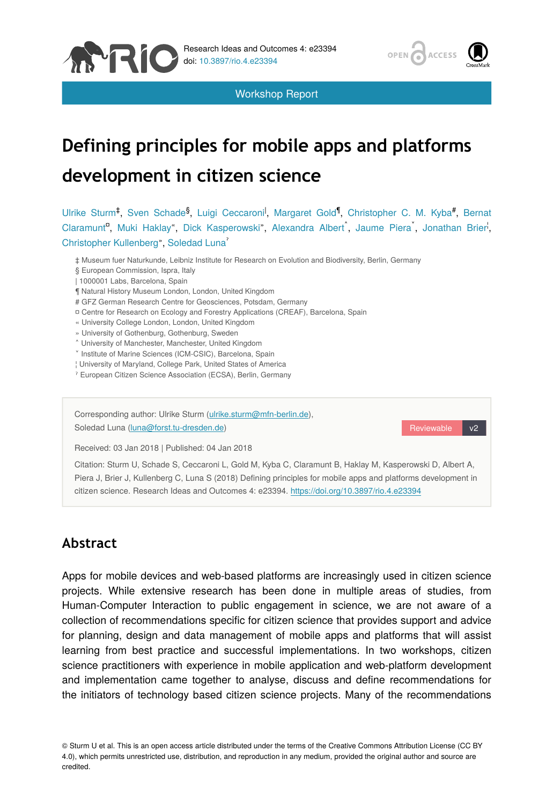

Workshop Report



# **Defining principles for mobile apps and platforms development in citizen science**

Ulrike Sturm<sup>‡</sup>, Sven Schade<sup>§</sup>, Luigi Ceccaroni<sup>l</sup>, Margaret Gold<sup>¶</sup>, Christopher C. M. Kyba<sup>#</sup>, Bernat Claramunt<sup>a</sup>, Muki Haklay", Dick Kasperowski", Alexandra Albert<sup>^</sup>, Jaume Piera<sup>\*</sup>, Jonathan Brier<sup>i</sup>, Christopher Kullenberg", Soledad Luna

- ‡ Museum fuer Naturkunde, Leibniz Institute for Research on Evolution and Biodiversity, Berlin, Germany
- § European Commission, Ispra, Italy
- | 1000001 Labs, Barcelona, Spain
- ¶ Natural History Museum London, London, United Kingdom
- # GFZ German Research Centre for Geosciences, Potsdam, Germany
- ¤ Centre for Research on Ecology and Forestry Applications (CREAF), Barcelona, Spain
- « University College London, London, United Kingdom
- » University of Gothenburg, Gothenburg, Sweden
- ˄ University of Manchester, Manchester, United Kingdom
- ˅ Institute of Marine Sciences (ICM-CSIC), Barcelona, Spain
- ¦ University of Maryland, College Park, United States of America
- ˀ European Citizen Science Association (ECSA), Berlin, Germany

Corresponding author: Ulrike Sturm ([ulrike.sturm@mfn-berlin.de\)](mailto:ulrike.sturm@mfn-berlin.de), Soledad Luna [\(luna@forst.tu-dresden.de](mailto:luna@forst.tu-dresden.de))

Reviewable v2

Received: 03 Jan 2018 | Published: 04 Jan 2018

Citation: Sturm U, Schade S, Ceccaroni L, Gold M, Kyba C, Claramunt B, Haklay M, Kasperowski D, Albert A, Piera J, Brier J, Kullenberg C, Luna S (2018) Defining principles for mobile apps and platforms development in citizen science. Research Ideas and Outcomes 4: e23394. <https://doi.org/10.3897/rio.4.e23394>

# **Abstract**

Apps for mobile devices and web-based platforms are increasingly used in citizen science projects. While extensive research has been done in multiple areas of studies, from Human-Computer Interaction to public engagement in science, we are not aware of a collection of recommendations specific for citizen science that provides support and advice for planning, design and data management of mobile apps and platforms that will assist learning from best practice and successful implementations. In two workshops, citizen science practitioners with experience in mobile application and web-platform development and implementation came together to analyse, discuss and define recommendations for the initiators of technology based citizen science projects. Many of the recommendations

© Sturm U et al. This is an open access article distributed under the terms of the Creative Commons Attribution License (CC BY 4.0), which permits unrestricted use, distribution, and reproduction in any medium, provided the original author and source are credited.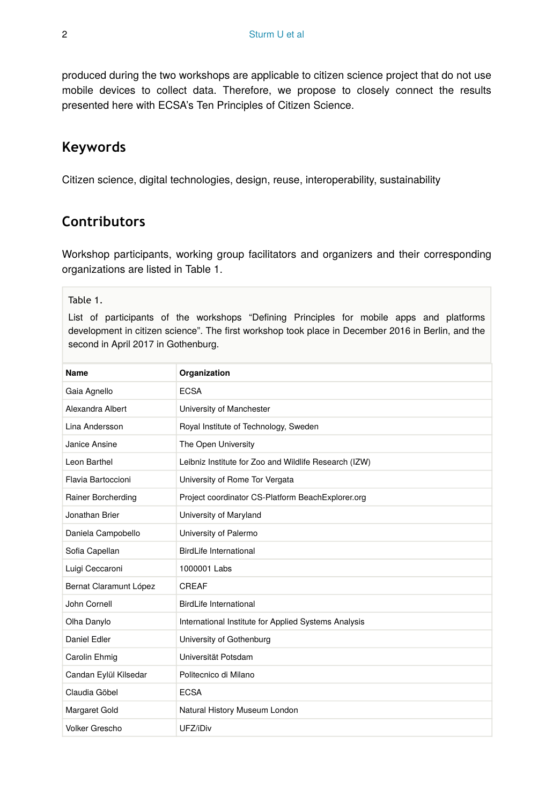produced during the two workshops are applicable to citizen science project that do not use mobile devices to collect data. Therefore, we propose to closely connect the results presented here with ECSA's Ten Principles of Citizen Science.

# **Keywords**

Citizen science, digital technologies, design, reuse, interoperability, sustainability

# **Contributors**

Workshop participants, working group facilitators and organizers and their corresponding organizations are listed in Table 1.

#### Table 1.

List of participants of the workshops "Defining Principles for mobile apps and platforms development in citizen science". The first workshop took place in December 2016 in Berlin, and the second in April 2017 in Gothenburg.

| Name                   | Organization                                          |
|------------------------|-------------------------------------------------------|
| Gaia Agnello           | <b>ECSA</b>                                           |
| Alexandra Albert       | University of Manchester                              |
| Lina Andersson         | Royal Institute of Technology, Sweden                 |
| Janice Ansine          | The Open University                                   |
| Leon Barthel           | Leibniz Institute for Zoo and Wildlife Research (IZW) |
| Flavia Bartoccioni     | University of Rome Tor Vergata                        |
| Rainer Borcherding     | Project coordinator CS-Platform BeachExplorer.org     |
| Jonathan Brier         | University of Maryland                                |
| Daniela Campobello     | University of Palermo                                 |
| Sofia Capellan         | BirdLife International                                |
| Luigi Ceccaroni        | 1000001 Labs                                          |
| Bernat Claramunt López | CREAF                                                 |
| John Cornell           | <b>BirdLife International</b>                         |
| Olha Danylo            | International Institute for Applied Systems Analysis  |
| Daniel Edler           | University of Gothenburg                              |
| Carolin Ehmig          | Universität Potsdam                                   |
| Candan Eylül Kilsedar  | Politecnico di Milano                                 |
| Claudia Göbel          | <b>ECSA</b>                                           |
| Margaret Gold          | Natural History Museum London                         |
| Volker Grescho         | UFZ/iDiv                                              |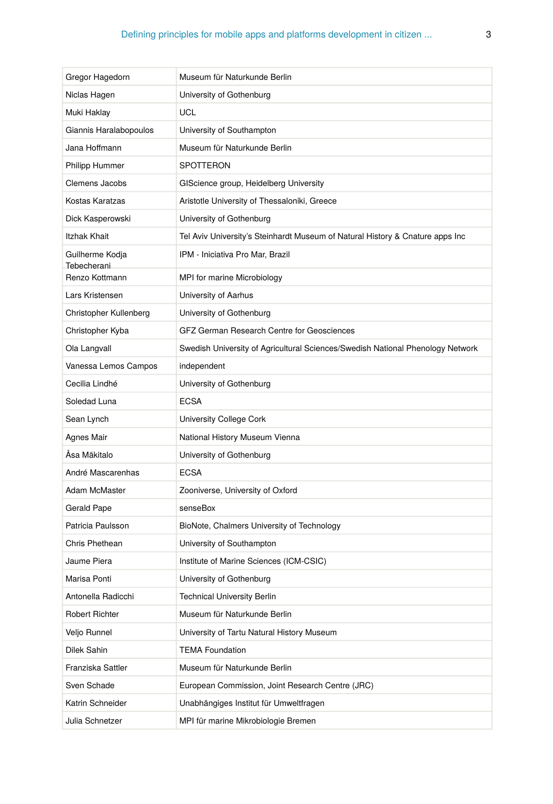| Gregor Hagedorn                | Museum für Naturkunde Berlin                                                   |
|--------------------------------|--------------------------------------------------------------------------------|
| Niclas Hagen                   | University of Gothenburg                                                       |
| Muki Haklay                    | <b>UCL</b>                                                                     |
| Giannis Haralabopoulos         | University of Southampton                                                      |
| Jana Hoffmann                  | Museum für Naturkunde Berlin                                                   |
| <b>Philipp Hummer</b>          | <b>SPOTTERON</b>                                                               |
| Clemens Jacobs                 | GIScience group, Heidelberg University                                         |
| Kostas Karatzas                | Aristotle University of Thessaloniki, Greece                                   |
| Dick Kasperowski               | University of Gothenburg                                                       |
| Itzhak Khait                   | Tel Aviv University's Steinhardt Museum of Natural History & Cnature apps Inc  |
| Guilherme Kodja<br>Tebecherani | IPM - Iniciativa Pro Mar, Brazil                                               |
| Renzo Kottmann                 | MPI for marine Microbiology                                                    |
| Lars Kristensen                | University of Aarhus                                                           |
| Christopher Kullenberg         | University of Gothenburg                                                       |
| Christopher Kyba               | GFZ German Research Centre for Geosciences                                     |
| Ola Langvall                   | Swedish University of Agricultural Sciences/Swedish National Phenology Network |
| Vanessa Lemos Campos           | independent                                                                    |
| Cecilia Lindhé                 | University of Gothenburg                                                       |
| Soledad Luna                   | <b>ECSA</b>                                                                    |
| Sean Lynch                     | University College Cork                                                        |
| Agnes Mair                     | National History Museum Vienna                                                 |
| Åsa Mäkitalo                   | University of Gothenburg                                                       |
| André Mascarenhas              | <b>ECSA</b>                                                                    |
| Adam McMaster                  | Zooniverse, University of Oxford                                               |
| Gerald Pape                    | senseBox                                                                       |
| Patricia Paulsson              | BioNote, Chalmers University of Technology                                     |
| Chris Phethean                 | University of Southampton                                                      |
| Jaume Piera                    | Institute of Marine Sciences (ICM-CSIC)                                        |
| Marisa Ponti                   | University of Gothenburg                                                       |
| Antonella Radicchi             | <b>Technical University Berlin</b>                                             |
| Robert Richter                 | Museum für Naturkunde Berlin                                                   |
| Veljo Runnel                   | University of Tartu Natural History Museum                                     |
| Dilek Sahin                    | <b>TEMA Foundation</b>                                                         |
| Franziska Sattler              | Museum für Naturkunde Berlin                                                   |
| Sven Schade                    | European Commission, Joint Research Centre (JRC)                               |
| Katrin Schneider               | Unabhängiges Institut für Umweltfragen                                         |
| Julia Schnetzer                | MPI für marine Mikrobiologie Bremen                                            |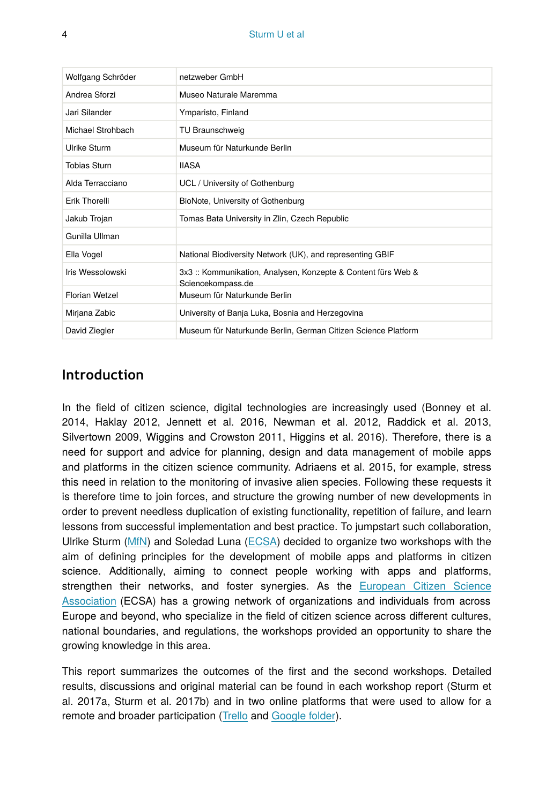| Wolfgang Schröder   | netzweber GmbH                                                                   |
|---------------------|----------------------------------------------------------------------------------|
| Andrea Sforzi       | Museo Naturale Maremma                                                           |
| Jari Silander       | Ymparisto, Finland                                                               |
| Michael Strohbach   | TU Braunschweig                                                                  |
| Ulrike Sturm        | Museum für Naturkunde Berlin                                                     |
| <b>Tobias Sturn</b> | <b>IIASA</b>                                                                     |
| Alda Terracciano    | UCL / University of Gothenburg                                                   |
| Erik Thorelli       | BioNote, University of Gothenburg                                                |
| Jakub Trojan        | Tomas Bata University in Zlin, Czech Republic                                    |
| Gunilla Ullman      |                                                                                  |
| Ella Vogel          | National Biodiversity Network (UK), and representing GBIF                        |
| Iris Wessolowski    | 3x3: Kommunikation, Analysen, Konzepte & Content fürs Web &<br>Sciencekompass.de |
| Florian Wetzel      | Museum für Naturkunde Berlin                                                     |
| Mirjana Zabic       | University of Banja Luka, Bosnia and Herzegovina                                 |
| David Ziegler       | Museum für Naturkunde Berlin, German Citizen Science Platform                    |

## **Introduction**

In the field of citizen science, digital technologies are increasingly used (Bonney et al. 2014, Haklay 2012, Jennett et al. 2016, Newman et al. 2012, Raddick et al. 2013, Silvertown 2009, Wiggins and Crowston 2011, Higgins et al. 2016). Therefore, there is a need for support and advice for planning, design and data management of mobile apps and platforms in the citizen science community. Adriaens et al. 2015, for example, stress this need in relation to the monitoring of invasive alien species. Following these requests it is therefore time to join forces, and structure the growing number of new developments in order to prevent needless duplication of existing functionality, repetition of failure, and learn lessons from successful implementation and best practice. To jumpstart such collaboration, Ulrike Sturm ([MfN](https://www.naturkundemuseum.berlin/)) and Soledad Luna ([ECSA\)](https://ecsa.citizen-science.net/) decided to organize two workshops with the aim of defining principles for the development of mobile apps and platforms in citizen science. Additionally, aiming to connect people working with apps and platforms, strengthen their networks, and foster synergies. As the [European Citizen Science](https://ecsa.citizen-science.net/) [Association](https://ecsa.citizen-science.net/) (ECSA) has a growing network of organizations and individuals from across Europe and beyond, who specialize in the field of citizen science across different cultures, national boundaries, and regulations, the workshops provided an opportunity to share the growing knowledge in this area.

This report summarizes the outcomes of the first and the second workshops. Detailed results, discussions and original material can be found in each workshop report (Sturm et al. 2017a, Sturm et al. 2017b) and in two online platforms that were used to allow for a remote and broader participation ([Trello](https://trello.com/b/jKXYC1IP/second-workshop-defining-principles-for-apps-and-platforms-for-citizen-science) and [Google folder](https://drive.google.com/drive/folders/0B7OC90YMxUOXTDktTEZZMWliM00)).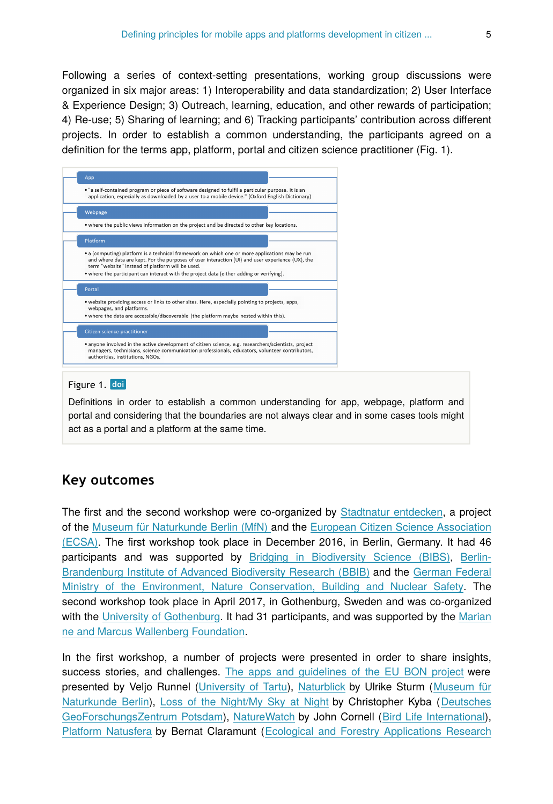Following a series of context-setting presentations, working group discussions were organized in six major areas: 1) Interoperability and data standardization; 2) User Interface & Experience Design; 3) Outreach, learning, education, and other rewards of participation; 4) Re-use; 5) Sharing of learning; and 6) Tracking participants' contribution across different projects. In order to establish a common understanding, the participants agreed on a definition for the terms app, platform, portal and citizen science practitioner (Fig. 1).



#### Figure 1. doi

Definitions in order to establish a common understanding for app, webpage, platform and portal and considering that the boundaries are not always clear and in some cases tools might act as a portal and a platform at the same time.

## **Key outcomes**

The first and the second workshop were co-organized by [Stadtnatur entdecken](http://naturblick.naturkundemuseum.berlin/), a project of the [Museum für Naturkunde Berlin \(MfN\)](https://www.naturkundemuseum.berlin/) and the [European Citizen Science Association](https://ecsa.citizen-science.net/) [\(ECSA\).](https://ecsa.citizen-science.net/) The first workshop took place in December 2016, in Berlin, Germany. It had 46 participants and was supported by [Bridging in Biodiversity Science \(BIBS\)](https://www.bbib.org/bibs-project.html), [Berlin-](https://www.bbib.org/home.html)[Brandenburg Institute of Advanced Biodiversity Research \(BBIB\)](https://www.bbib.org/home.html) and the [German Federal](http://www.bmub.bund.de/en/) [Ministry of the Environment, Nature Conservation, Building and Nuclear Safety.](http://www.bmub.bund.de/en/) The second workshop took place in April 2017, in Gothenburg, Sweden and was co-organized with the [University of Gothenburg](http://www.gu.se/). It had 31 participants, and was supported by the [Marian](https://www.wallenberg.com/mmw/en) [ne and Marcus Wallenberg Foundation.](https://www.wallenberg.com/mmw/en)

In the first workshop, a number of projects were presented in order to share insights, success stories, and challenges. [The apps and guidelines of the EU BON project](https://drive.google.com/file/d/0B7OC90YMxUOXQkhCcVZIYjJYWjQ/view) were presented by Veljo Runnel ([University of Tartu\)](https://www.ut.ee/en), [Naturblick](https://drive.google.com/file/d/0B7OC90YMxUOXN0JlbDc3dl9mV0E/view) by Ulrike Sturm ([Museum für](https://www.naturkundemuseum.berlin/) [Naturkunde Berlin\)](https://www.naturkundemuseum.berlin/), [Loss of the Night/My Sky at Night](https://drive.google.com/file/d/0B7OC90YMxUOXenM0QWkyMGozWVk/view) by Christopher Kyba ([Deutsches](http://www.gfz-potsdam.de/startseite/) [GeoForschungsZentrum Potsdam](http://www.gfz-potsdam.de/startseite/)), [NatureWatch](https://drive.google.com/file/d/0B7OC90YMxUOXWDZsUUtIa3hIUzg/view) by John Cornell ([Bird Life International\)](http://www.birdlife.org/), [Platform Natusfera](https://drive.google.com/file/d/0B7OC90YMxUOXOVgya2szUVZpN1k/view) by Bernat Claramunt ([Ecological and Forestry Applications Research](http://www.creaf.cat/)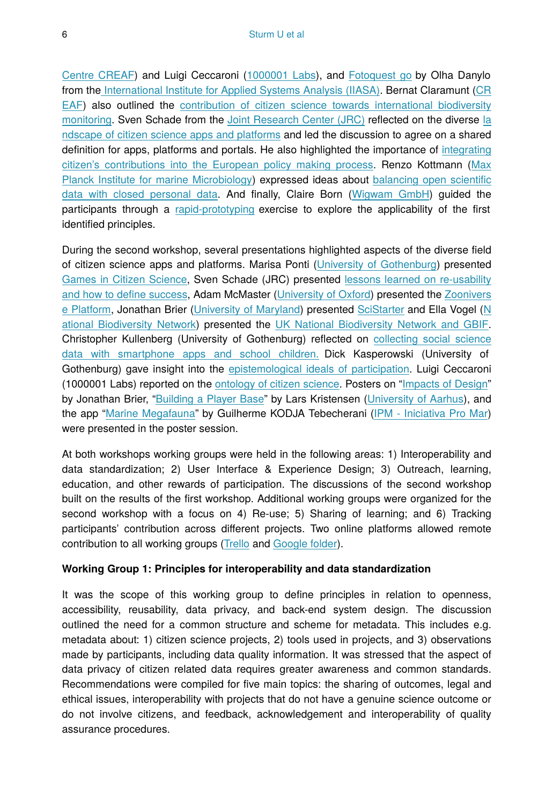[Centre CREAF\)](http://www.creaf.cat/) and Luigi Ceccaroni ([1000001 Labs\)](http://www.1000001labs.org/), and [Fotoquest go](https://drive.google.com/file/d/0B7OC90YMxUOXdEhRZWw3RzRGYXc/view) by Olha Danylo from th[e International Institute for Applied Systems Analysis \(IIASA\)](http://www.iiasa.ac.at/). Bernat Claramunt [\(CR](http://www.creaf.cat/) [EAF\)](http://www.creaf.cat/) also outlined the [contribution of citizen science towards international biodiversity](https://drive.google.com/file/d/0B7OC90YMxUOXSGRSQ1k3elh0QmM/view) [monitoring](https://drive.google.com/file/d/0B7OC90YMxUOXSGRSQ1k3elh0QmM/view). Sven Schade from the [Joint Research Center \(JRC\)](https://ec.europa.eu/jrc/en) reflected on the diverse [la](https://drive.google.com/file/d/0B7OC90YMxUOXV0E4dVNMVzlPaE0/view) [ndscape of citizen science apps and platforms](https://drive.google.com/file/d/0B7OC90YMxUOXV0E4dVNMVzlPaE0/view) and led the discussion to agree on a shared definition for apps, platforms and portals. He also highlighted the importance of [integrating](https://drive.google.com/file/d/0B7OC90YMxUOXU2gxN1NncjByNVU/view) [citizen's contributions into the European policy making process](https://drive.google.com/file/d/0B7OC90YMxUOXU2gxN1NncjByNVU/view). Renzo Kottmann [\(Max](https://www.mpi-bremen.de/en/Home.html) [Planck Institute for marine Microbiology](https://www.mpi-bremen.de/en/Home.html)) expressed ideas about [balancing open scienti](https://drive.google.com/file/d/0B7OC90YMxUOXWENEN0swMDJFamM/view?usp=drive_web)fic [data with closed personal data.](https://drive.google.com/file/d/0B7OC90YMxUOXWENEN0swMDJFamM/view?usp=drive_web) And finally, Claire Born ([Wigwam GmbH\)](https://wigwam.im/) guided the participants through a [rapid-prototyping](https://drive.google.com/file/d/0B78VoDtfxp8dUjd4QnhfQWk3NUk/view) exercise to explore the applicability of the first identified principles.

During the second workshop, several presentations highlighted aspects of the diverse field of citizen science apps and platforms. Marisa Ponti ([University of Gothenburg](http://www.gu.se/english)) presented [Games in Citizen Science](https://drive.google.com/file/d/0B0gdhkkKAubeTXEyVGRLTGs0SjQ/view), Sven Schade (JRC) presented [lessons learned on re-usability](https://drive.google.com/file/d/0B78VoDtfxp8dbi1RTjZwSzdGeE0/view) [and how to de](https://drive.google.com/file/d/0B78VoDtfxp8dbi1RTjZwSzdGeE0/view)fine success, Adam McMaster [\(University of Oxford](http://www.ox.ac.uk/)) presented the [Zoonivers](https://drive.google.com/file/d/0B78VoDtfxp8dN0E5aDRZWXRueDA/view) [e Platform,](https://drive.google.com/file/d/0B78VoDtfxp8dN0E5aDRZWXRueDA/view) Jonathan Brier ([University of Maryland\)](https://www.umd.edu/) presented [SciStarter](https://drive.google.com/file/d/0B78VoDtfxp8dZC1zdVNRcjlKbE0/view) and Ella Vogel ([N](https://nbn.org.uk/) [ational Biodiversity Network\)](https://nbn.org.uk/) presented the [UK National Biodiversity Network and GBIF.](https://drive.google.com/file/d/0B78VoDtfxp8dZ2ZvT0RmLS1MeG8/view) Christopher Kullenberg (University of Gothenburg) reflected on [collecting social science](https://scientometrics.flov.gu.se/presentations/GBGworkshop.html#/) [data with smartphone apps and school children.](https://scientometrics.flov.gu.se/presentations/GBGworkshop.html#/) Dick Kasperowski (University of Gothenburg) gave insight into the [epistemological ideals of participation.](https://drive.google.com/file/d/0B78VoDtfxp8dZ19nQXd3OVB0Y1U/view) Luigi Ceccaroni (1000001 Labs) reported on the [ontology of citizen science.](https://drive.google.com/file/d/0B78VoDtfxp8dMy1Ucm9iVi00bHM/view) Posters on ["Impacts of Design](https://drive.google.com/file/d/0B5r-DREYiek-R04zV2lZY2pEblU/view)" by Jonathan Brier, "[Building a Player Base](https://drive.google.com/file/d/0BwuT7y5cHwOHR05sSjN1d0x5QjA/view)" by Lars Kristensen [\(University of Aarhus\)](http://www.au.dk/en/), and the app ["Marine Megafauna"](https://drive.google.com/file/d/0B78VoDtfxp8dNkRPTFFEYVJYZmM/view) by Guilherme KODJA Tebecherani [\(IPM - Iniciativa Pro Mar](http://www.ipromar.org.br/)) were presented in the poster session.

At both workshops working groups were held in the following areas: 1) Interoperability and data standardization; 2) User Interface & Experience Design; 3) Outreach, learning, education, and other rewards of participation. The discussions of the second workshop built on the results of the first workshop. Additional working groups were organized for the second workshop with a focus on 4) Re-use; 5) Sharing of learning; and 6) Tracking participants' contribution across different projects. Two online platforms allowed remote contribution to all working groups [\(Trello](https://trello.com/b/jKXYC1IP/second-workshop-defining-principles-for-apps-and-platforms-for-citizen-science) and [Google folder\)](https://drive.google.com/drive/folders/0B7OC90YMxUOXTDktTEZZMWliM00).

#### **Working Group 1: Principles for interoperability and data standardization**

It was the scope of this working group to define principles in relation to openness, accessibility, reusability, data privacy, and back-end system design. The discussion outlined the need for a common structure and scheme for metadata. This includes e.g. metadata about: 1) citizen science projects, 2) tools used in projects, and 3) observations made by participants, including data quality information. It was stressed that the aspect of data privacy of citizen related data requires greater awareness and common standards. Recommendations were compiled for five main topics: the sharing of outcomes, legal and ethical issues, interoperability with projects that do not have a genuine science outcome or do not involve citizens, and feedback, acknowledgement and interoperability of quality assurance procedures.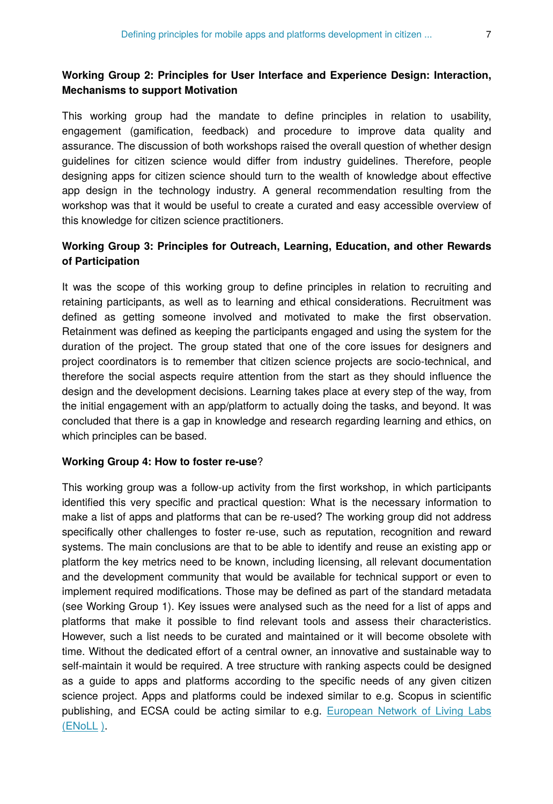### **Working Group 2: Principles for User Interface and Experience Design: Interaction, Mechanisms to support Motivation**

This working group had the mandate to define principles in relation to usability, engagement (gamification, feedback) and procedure to improve data quality and assurance. The discussion of both workshops raised the overall question of whether design guidelines for citizen science would differ from industry guidelines. Therefore, people designing apps for citizen science should turn to the wealth of knowledge about effective app design in the technology industry. A general recommendation resulting from the workshop was that it would be useful to create a curated and easy accessible overview of this knowledge for citizen science practitioners.

## **Working Group 3: Principles for Outreach, Learning, Education, and other Rewards of Participation**

It was the scope of this working group to define principles in relation to recruiting and retaining participants, as well as to learning and ethical considerations. Recruitment was defined as getting someone involved and motivated to make the first observation. Retainment was defined as keeping the participants engaged and using the system for the duration of the project. The group stated that one of the core issues for designers and project coordinators is to remember that citizen science projects are socio-technical, and therefore the social aspects require attention from the start as they should influence the design and the development decisions. Learning takes place at every step of the way, from the initial engagement with an app/platform to actually doing the tasks, and beyond. It was concluded that there is a gap in knowledge and research regarding learning and ethics, on which principles can be based.

#### **Working Group 4: How to foster re-use**?

This working group was a follow-up activity from the first workshop, in which participants identified this very specific and practical question: What is the necessary information to make a list of apps and platforms that can be re-used? The working group did not address specifically other challenges to foster re-use, such as reputation, recognition and reward systems. The main conclusions are that to be able to identify and reuse an existing app or platform the key metrics need to be known, including licensing, all relevant documentation and the development community that would be available for technical support or even to implement required modifications. Those may be defined as part of the standard metadata (see Working Group 1). Key issues were analysed such as the need for a list of apps and platforms that make it possible to find relevant tools and assess their characteristics. However, such a list needs to be curated and maintained or it will become obsolete with time. Without the dedicated effort of a central owner, an innovative and sustainable way to self-maintain it would be required. A tree structure with ranking aspects could be designed as a guide to apps and platforms according to the specific needs of any given citizen science project. Apps and platforms could be indexed similar to e.g. Scopus in scientific publishing, and ECSA could be acting similar to e.g. [European Network of Living Labs](http://www.openlivinglabs.eu/) [\(ENoLL](http://www.openlivinglabs.eu/) [\)](http://www.openlivinglabs.eu/).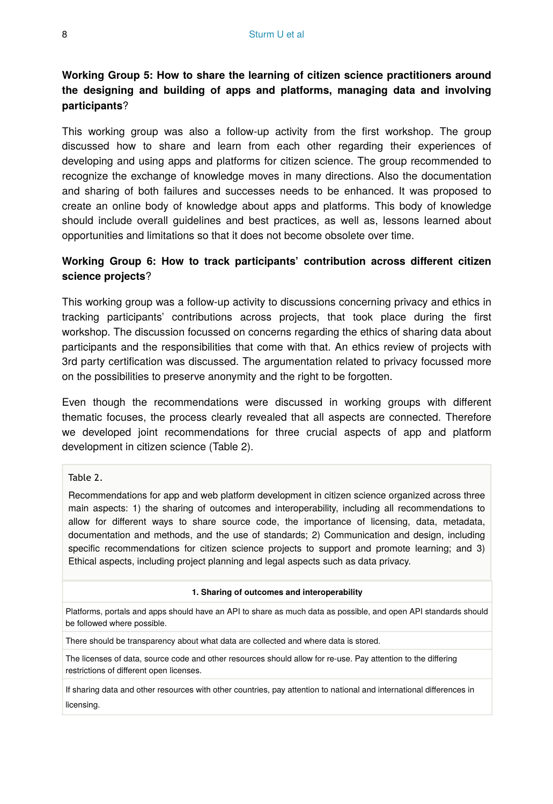## **Working Group 5: How to share the learning of citizen science practitioners around the designing and building of apps and platforms, managing data and involving participants**?

This working group was also a follow-up activity from the first workshop. The group discussed how to share and learn from each other regarding their experiences of developing and using apps and platforms for citizen science. The group recommended to recognize the exchange of knowledge moves in many directions. Also the documentation and sharing of both failures and successes needs to be enhanced. It was proposed to create an online body of knowledge about apps and platforms. This body of knowledge should include overall guidelines and best practices, as well as, lessons learned about opportunities and limitations so that it does not become obsolete over time.

### **Working Group 6: How to track participants' contribution across different citizen science projects**?

This working group was a follow-up activity to discussions concerning privacy and ethics in tracking participants' contributions across projects, that took place during the first workshop. The discussion focussed on concerns regarding the ethics of sharing data about participants and the responsibilities that come with that. An ethics review of projects with 3rd party certification was discussed. The argumentation related to privacy focussed more on the possibilities to preserve anonymity and the right to be forgotten.

Even though the recommendations were discussed in working groups with different thematic focuses, the process clearly revealed that all aspects are connected. Therefore we developed joint recommendations for three crucial aspects of app and platform development in citizen science (Table 2).

#### Table 2.

Recommendations for app and web platform development in citizen science organized across three main aspects: 1) the sharing of outcomes and interoperability, including all recommendations to allow for different ways to share source code, the importance of licensing, data, metadata, documentation and methods, and the use of standards; 2) Communication and design, including specific recommendations for citizen science projects to support and promote learning; and 3) Ethical aspects, including project planning and legal aspects such as data privacy.

#### **1. Sharing of outcomes and interoperability**

Platforms, portals and apps should have an API to share as much data as possible, and open API standards should be followed where possible.

There should be transparency about what data are collected and where data is stored.

The licenses of data, source code and other resources should allow for re-use. Pay attention to the differing restrictions of different open licenses.

If sharing data and other resources with other countries, pay attention to national and international differences in licensing.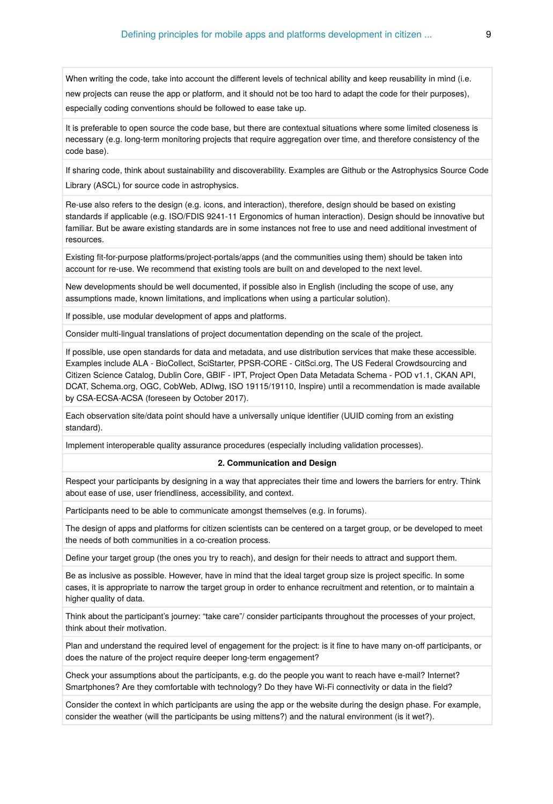When writing the code, take into account the different levels of technical ability and keep reusability in mind (i.e. new projects can reuse the app or platform, and it should not be too hard to adapt the code for their purposes), especially coding conventions should be followed to ease take up.

It is preferable to open source the code base, but there are contextual situations where some limited closeness is necessary (e.g. long-term monitoring projects that require aggregation over time, and therefore consistency of the code base).

If sharing code, think about sustainability and discoverability. Examples are Github or the Astrophysics Source Code Library (ASCL) for source code in astrophysics.

Re-use also refers to the design (e.g. icons, and interaction), therefore, design should be based on existing standards if applicable (e.g. ISO/FDIS 9241-11 Ergonomics of human interaction). Design should be innovative but familiar. But be aware existing standards are in some instances not free to use and need additional investment of resources.

Existing fit-for-purpose platforms/project-portals/apps (and the communities using them) should be taken into account for re-use. We recommend that existing tools are built on and developed to the next level.

New developments should be well documented, if possible also in English (including the scope of use, any assumptions made, known limitations, and implications when using a particular solution).

If possible, use modular development of apps and platforms.

Consider multi-lingual translations of project documentation depending on the scale of the project.

If possible, use open standards for data and metadata, and use distribution services that make these accessible. Examples include ALA - BioCollect, SciStarter, PPSR-CORE - CitSci.org, The US Federal Crowdsourcing and Citizen Science Catalog, Dublin Core, GBIF - IPT, Project Open Data Metadata Schema - POD v1.1, CKAN API, DCAT, Schema.org, OGC, CobWeb, ADIwg, ISO 19115/19110, Inspire) until a recommendation is made available by CSA-ECSA-ACSA (foreseen by October 2017).

Each observation site/data point should have a universally unique identifier (UUID coming from an existing standard).

Implement interoperable quality assurance procedures (especially including validation processes).

#### **2. Communication and Design**

Respect your participants by designing in a way that appreciates their time and lowers the barriers for entry. Think about ease of use, user friendliness, accessibility, and context.

Participants need to be able to communicate amongst themselves (e.g. in forums).

The design of apps and platforms for citizen scientists can be centered on a target group, or be developed to meet the needs of both communities in a co-creation process.

Define your target group (the ones you try to reach), and design for their needs to attract and support them.

Be as inclusive as possible. However, have in mind that the ideal target group size is project specific. In some cases, it is appropriate to narrow the target group in order to enhance recruitment and retention, or to maintain a higher quality of data.

Think about the participant's journey: "take care"/ consider participants throughout the processes of your project, think about their motivation.

Plan and understand the required level of engagement for the project: is it fine to have many on-off participants, or does the nature of the project require deeper long-term engagement?

Check your assumptions about the participants, e.g. do the people you want to reach have e-mail? Internet? Smartphones? Are they comfortable with technology? Do they have Wi-Fi connectivity or data in the field?

Consider the context in which participants are using the app or the website during the design phase. For example, consider the weather (will the participants be using mittens?) and the natural environment (is it wet?).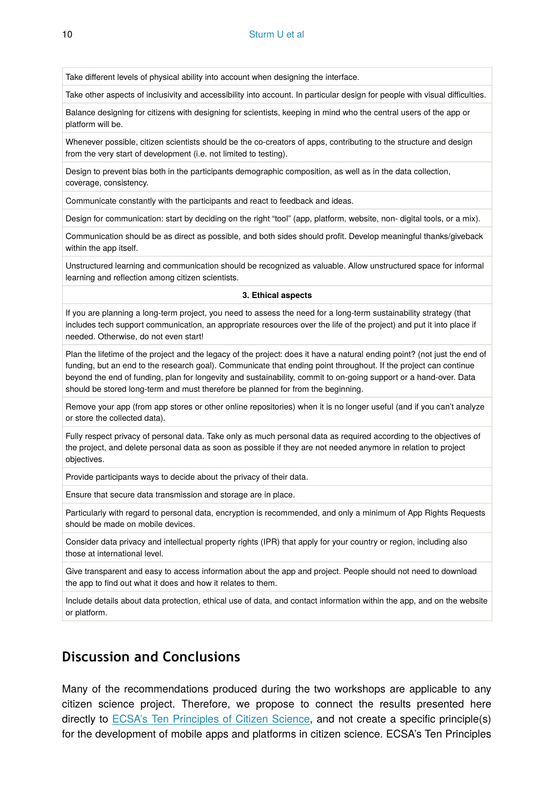10 Sturm U et al

Take different levels of physical ability into account when designing the interface.

Take other aspects of inclusivity and accessibility into account. In particular design for people with visual difficulties.

Balance designing for citizens with designing for scientists, keeping in mind who the central users of the app or platform will be.

Whenever possible, citizen scientists should be the co-creators of apps, contributing to the structure and design from the very start of development (i.e. not limited to testing).

Design to prevent bias both in the participants demographic composition, as well as in the data collection, coverage, consistency.

Communicate constantly with the participants and react to feedback and ideas.

Design for communication: start by deciding on the right "tool" (app, platform, website, non- digital tools, or a mix).

Communication should be as direct as possible, and both sides should profit. Develop meaningful thanks/giveback within the app itself.

Unstructured learning and communication should be recognized as valuable. Allow unstructured space for informal learning and reflection among citizen scientists.

**3. Ethical aspects**

If you are planning a long-term project, you need to assess the need for a long-term sustainability strategy (that includes tech support communication, an appropriate resources over the life of the project) and put it into place if needed. Otherwise, do not even start!

Plan the lifetime of the project and the legacy of the project: does it have a natural ending point? (not just the end of funding, but an end to the research goal). Communicate that ending point throughout. If the project can continue beyond the end of funding, plan for longevity and sustainability, commit to on-going support or a hand-over. Data should be stored long-term and must therefore be planned for from the beginning.

Remove your app (from app stores or other online repositories) when it is no longer useful (and if you can't analyze or store the collected data).

Fully respect privacy of personal data. Take only as much personal data as required according to the objectives of the project, and delete personal data as soon as possible if they are not needed anymore in relation to project objectives.

Provide participants ways to decide about the privacy of their data.

Ensure that secure data transmission and storage are in place.

Particularly with regard to personal data, encryption is recommended, and only a minimum of App Rights Requests should be made on mobile devices.

Consider data privacy and intellectual property rights (IPR) that apply for your country or region, including also those at international level.

Give transparent and easy to access information about the app and project. People should not need to download the app to find out what it does and how it relates to them.

Include details about data protection, ethical use of data, and contact information within the app, and on the website or platform.

## **Discussion and Conclusions**

Many of the recommendations produced during the two workshops are applicable to any citizen science project. Therefore, we propose to connect the results presented here directly to [ECSA's Ten Principles of Citizen Science,](https://ecsa.citizen-science.net/sites/default/files/ecsa_ten_principles_of_citizen_science.pdf) and not create a specific principle(s) for the development of mobile apps and platforms in citizen science. ECSA's Ten Principles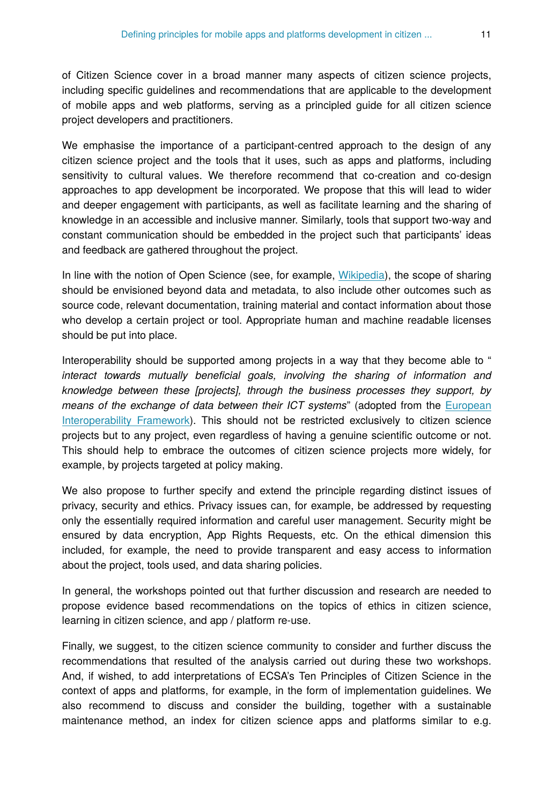of Citizen Science cover in a broad manner many aspects of citizen science projects, including specific guidelines and recommendations that are applicable to the development of mobile apps and web platforms, serving as a principled guide for all citizen science project developers and practitioners.

We emphasise the importance of a participant-centred approach to the design of any citizen science project and the tools that it uses, such as apps and platforms, including sensitivity to cultural values. We therefore recommend that co-creation and co-design approaches to app development be incorporated. We propose that this will lead to wider and deeper engagement with participants, as well as facilitate learning and the sharing of knowledge in an accessible and inclusive manner. Similarly, tools that support two-way and constant communication should be embedded in the project such that participants' ideas and feedback are gathered throughout the project.

In line with the notion of Open Science (see, for example, [Wikipedia\)](https://en.wikipedia.org/wiki/Open_science), the scope of sharing should be envisioned beyond data and metadata, to also include other outcomes such as source code, relevant documentation, training material and contact information about those who develop a certain project or tool. Appropriate human and machine readable licenses should be put into place.

Interoperability should be supported among projects in a way that they become able to " *interact towards mutually beneficial goals, involving the sharing of information and knowledge between these [projects], through the business processes they support, by means of the exchange of data between their ICT systems*" (adopted from the [European](https://ec.europa.eu/isa2/library/european-interoperability-framework-eif-0_en) [Interoperability Framework](https://ec.europa.eu/isa2/library/european-interoperability-framework-eif-0_en)). This should not be restricted exclusively to citizen science projects but to any project, even regardless of having a genuine scientific outcome or not. This should help to embrace the outcomes of citizen science projects more widely, for example, by projects targeted at policy making.

We also propose to further specify and extend the principle regarding distinct issues of privacy, security and ethics. Privacy issues can, for example, be addressed by requesting only the essentially required information and careful user management. Security might be ensured by data encryption, App Rights Requests, etc. On the ethical dimension this included, for example, the need to provide transparent and easy access to information about the project, tools used, and data sharing policies.

In general, the workshops pointed out that further discussion and research are needed to propose evidence based recommendations on the topics of ethics in citizen science, learning in citizen science, and app / platform re-use.

Finally, we suggest, to the citizen science community to consider and further discuss the recommendations that resulted of the analysis carried out during these two workshops. And, if wished, to add interpretations of ECSA's Ten Principles of Citizen Science in the context of apps and platforms, for example, in the form of implementation guidelines. We also recommend to discuss and consider the building, together with a sustainable maintenance method, an index for citizen science apps and platforms similar to e.g.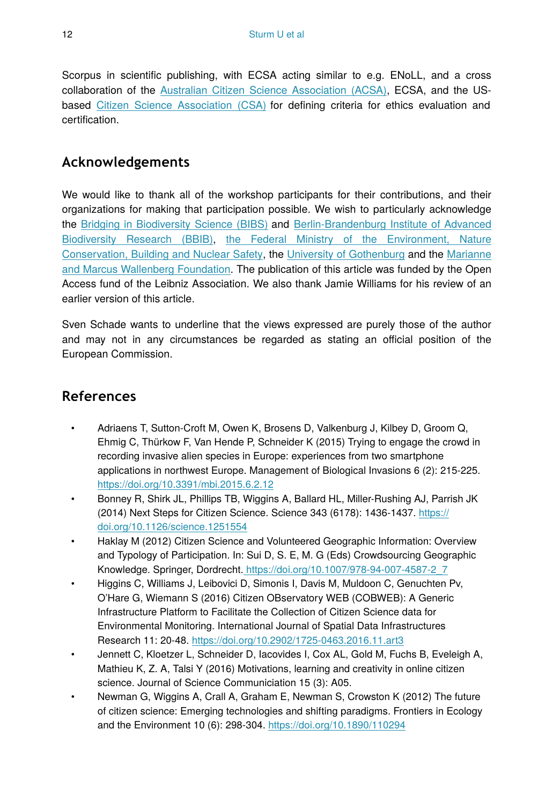Scorpus in scientific publishing, with ECSA acting similar to e.g. ENoLL, and a cross collaboration of the [Australian Citizen Science Association \(ACSA\),](http://csna.gaiaresources.com.au/) ECSA, and the USbased [Citizen Science Association \(CSA\)](http://citizenscience.org/) for defining criteria for ethics evaluation and certification.

# **Acknowledgements**

We would like to thank all of the workshop participants for their contributions, and their organizations for making that participation possible. We wish to particularly acknowledge the [Bridging in Biodiversity Science \(BIBS\)](https://www.bbib.org/bibs-projekt.html) and [Berlin-Brandenburg Institute of Advanced](https://www.bbib.org/home.html) [Biodiversity Research \(BBIB\)](https://www.bbib.org/home.html), [the Federal Ministry of the Environment, Nature](http://www.bmub.bund.de/en/) [Conservation, Building and Nuclear Safety](http://www.bmub.bund.de/en/), the [University of Gothenburg](http://www.gu.se/) and the [Marianne](https://www.wallenberg.com/mmw/en) [and Marcus Wallenberg Foundation.](https://www.wallenberg.com/mmw/en) The publication of this article was funded by the Open Access fund of the Leibniz Association. We also thank Jamie Williams for his review of an earlier version of this article.

Sven Schade wants to underline that the views expressed are purely those of the author and may not in any circumstances be regarded as stating an official position of the European Commission.

# **References**

- Adriaens T, Sutton-Croft M, Owen K, Brosens D, Valkenburg J, Kilbey D, Groom Q, Ehmig C, Thürkow F, Van Hende P, Schneider K (2015) Trying to engage the crowd in recording invasive alien species in Europe: experiences from two smartphone applications in northwest Europe. Management of Biological Invasions 6 (2): 215‑225. <https://doi.org/10.3391/mbi.2015.6.2.12>
- Bonney R, Shirk JL, Phillips TB, Wiggins A, Ballard HL, Miller-Rushing AJ, Parrish JK (2014) Next Steps for Citizen Science. Science 343 (6178): 1436-1437. [https://](https://doi.org/10.1126/science.1251554) [doi.org/10.1126/science.1251554](https://doi.org/10.1126/science.1251554)
- Haklay M (2012) Citizen Science and Volunteered Geographic Information: Overview and Typology of Participation. In: Sui D, S. E, M. G (Eds) Crowdsourcing Geographic Knowledge. Springer, Dordrecht. [https://doi.org/10.1007/978-94-007-4587-2\\_7](https://doi.org/10.1007/978-94-007-4587-2_7)
- Higgins C, Williams J, Leibovici D, Simonis I, Davis M, Muldoon C, Genuchten Pv, O'Hare G, Wiemann S (2016) Citizen OBservatory WEB (COBWEB): A Generic Infrastructure Platform to Facilitate the Collection of Citizen Science data for Environmental Monitoring. International Journal of Spatial Data Infrastructures Research 11: 20‑48.<https://doi.org/10.2902/1725-0463.2016.11.art3>
- Jennett C, Kloetzer L, Schneider D, Iacovides I, Cox AL, Gold M, Fuchs B, Eveleigh A, Mathieu K, Z. A, Talsi Y (2016) Motivations, learning and creativity in online citizen science. Journal of Science Communiciation 15 (3): A05.
- Newman G, Wiggins A, Crall A, Graham E, Newman S, Crowston K (2012) The future of citizen science: Emerging technologies and shifting paradigms. Frontiers in Ecology and the Environment 10 (6): 298‑304. <https://doi.org/10.1890/110294>